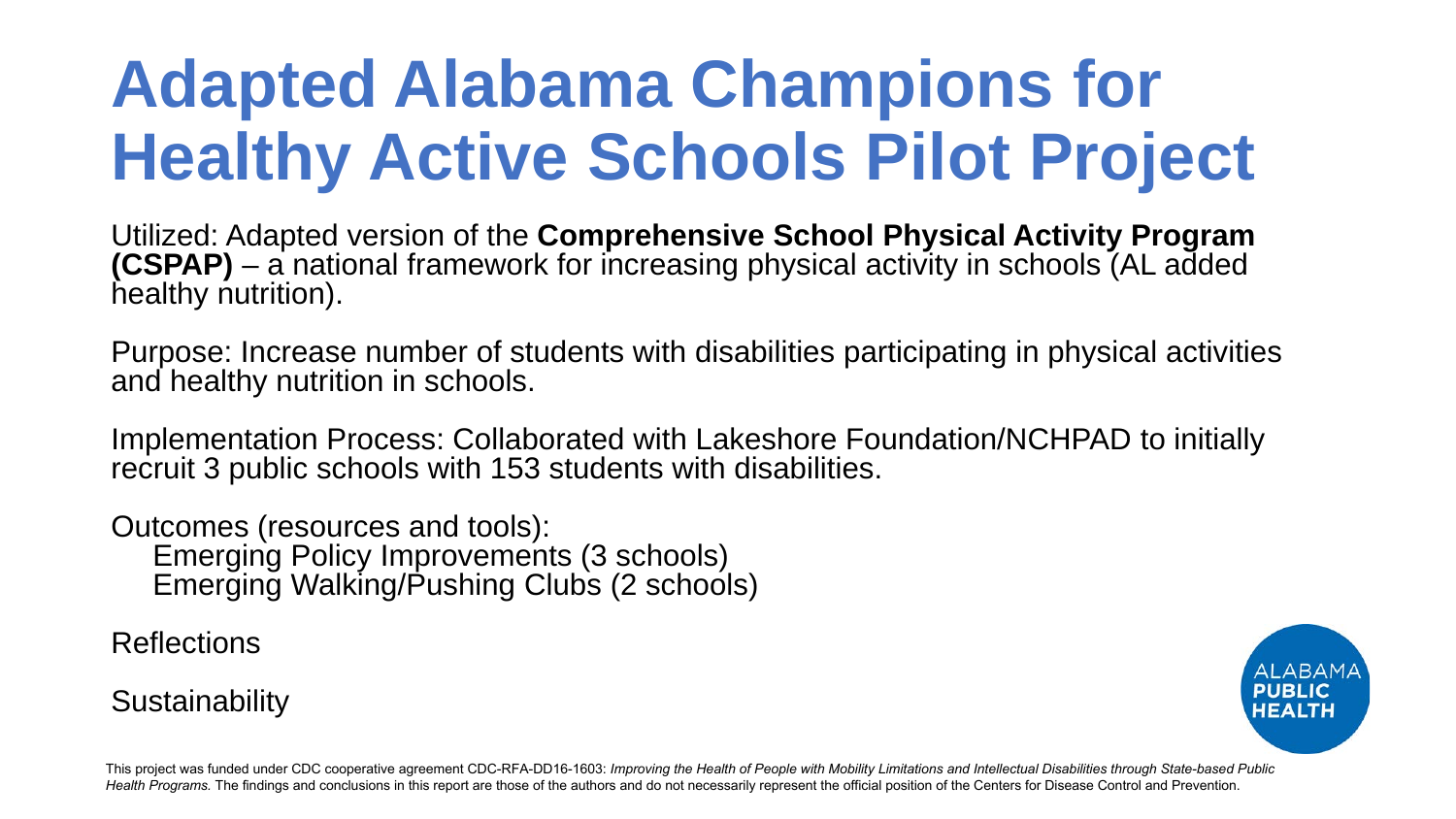# **Adapted Alabama Champions for Healthy Active Schools Pilot Project**

Utilized: Adapted version of the **Comprehensive School Physical Activity Program (CSPAP)** – a national framework for increasing physical activity in schools (AL added healthy nutrition).

Purpose: Increase number of students with disabilities participating in physical activities and healthy nutrition in schools.

Implementation Process: Collaborated with Lakeshore Foundation/NCHPAD to initially recruit 3 public schools with 153 students with disabilities.

Outcomes (resources and tools): Emerging Policy Improvements (3 schools) Emerging Walking/Pushing Clubs (2 schools)

Reflections

**Sustainability** 

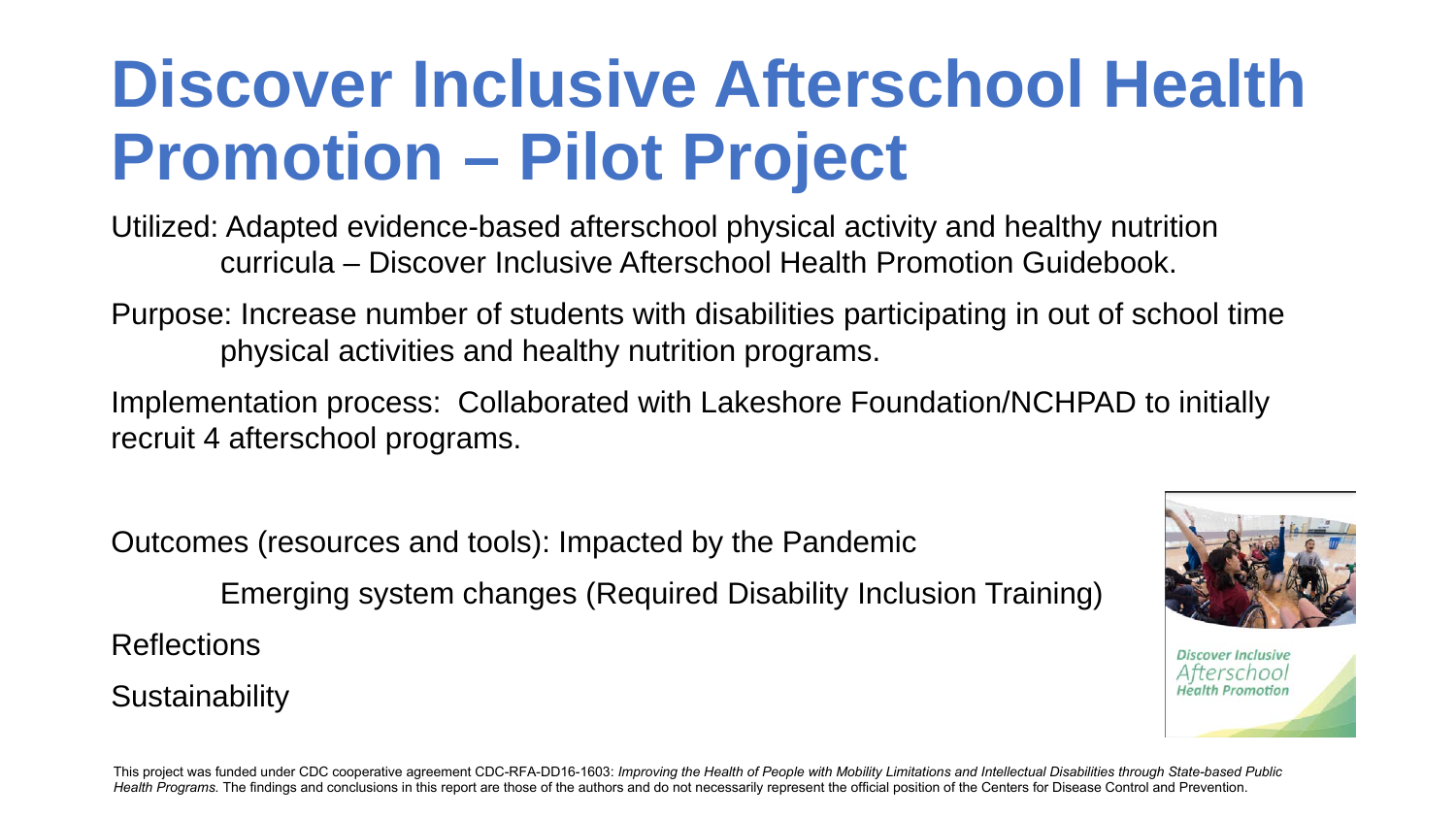# **Discover Inclusive Afterschool Health Promotion – Pilot Project**

Utilized: Adapted evidence-based afterschool physical activity and healthy nutrition curricula – Discover Inclusive Afterschool Health Promotion Guidebook.

Purpose: Increase number of students with disabilities participating in out of school time physical activities and healthy nutrition programs.

Implementation process: Collaborated with Lakeshore Foundation/NCHPAD to initially recruit 4 afterschool programs.

Outcomes (resources and tools): Impacted by the Pandemic

Emerging system changes (Required Disability Inclusion Training)

**Reflections** 

**Sustainability** 



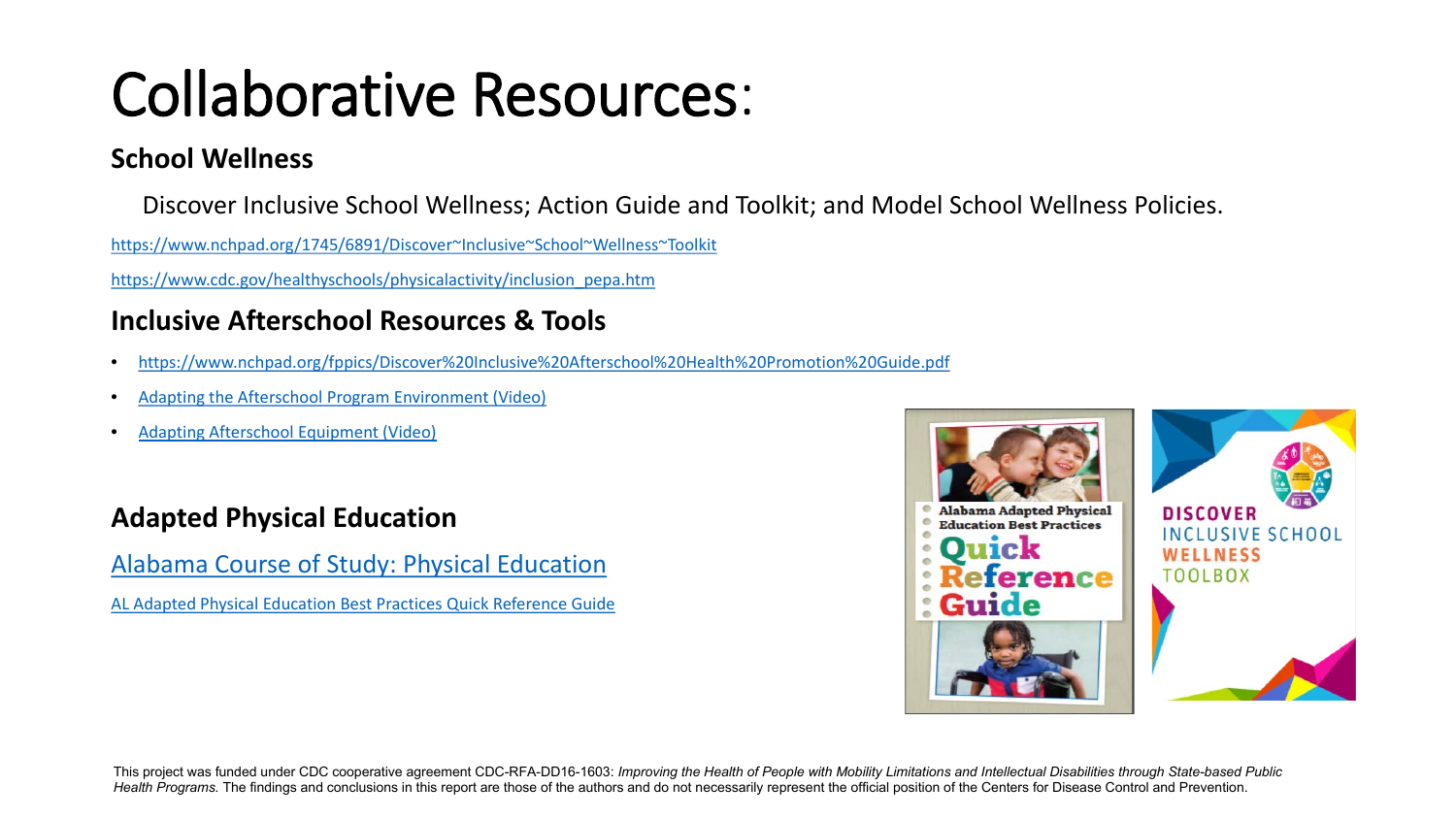## Collaborative Resources:

#### **School Wellness**

Discover Inclusive School Wellness; Action Guide and Toolkit; and Model School Wellness Policies.

[https://www.nchpad.org/1745/6891/Discover~Inclusive~School~Wellness~Toolkit](https://www.nchpad.org/1745/6891/Discover%7EInclusive%7ESchool%7EWellness%7EToolkit)

[https://www.cdc.gov/healthyschools/physicalactivity/inclusion\\_pepa.htm](https://www.cdc.gov/healthyschools/physicalactivity/inclusion_pepa.htm)

#### **Inclusive Afterschool Resources & Tools**

- <https://www.nchpad.org/fppics/Discover%20Inclusive%20Afterschool%20Health%20Promotion%20Guide.pdf>
- [Adapting the Afterschool Program Environment \(Video\)](https://www.youtube.com/watch?v=tN8a5qGtjII)
- [Adapting Afterschool Equipment \(Video\)](https://www.youtube.com/watch?v=-Z0DyM69Tno)

#### **Adapted Physical Education**

[Alabama Course of Study: Physical Education](https://www.alsde.edu/sec/sct/COS/2019%20Alabama%20Course%20of%20Study%20Physical%20Education.pdf)

[AL Adapted Physical Education Best Practices Quick Reference Guide](https://www.alsde.edu/sec/isvcs/hpe/Process/AL%20Adapted%20PE%20Best%20Practices%20Quick%20Reference%20Guide.pdf)

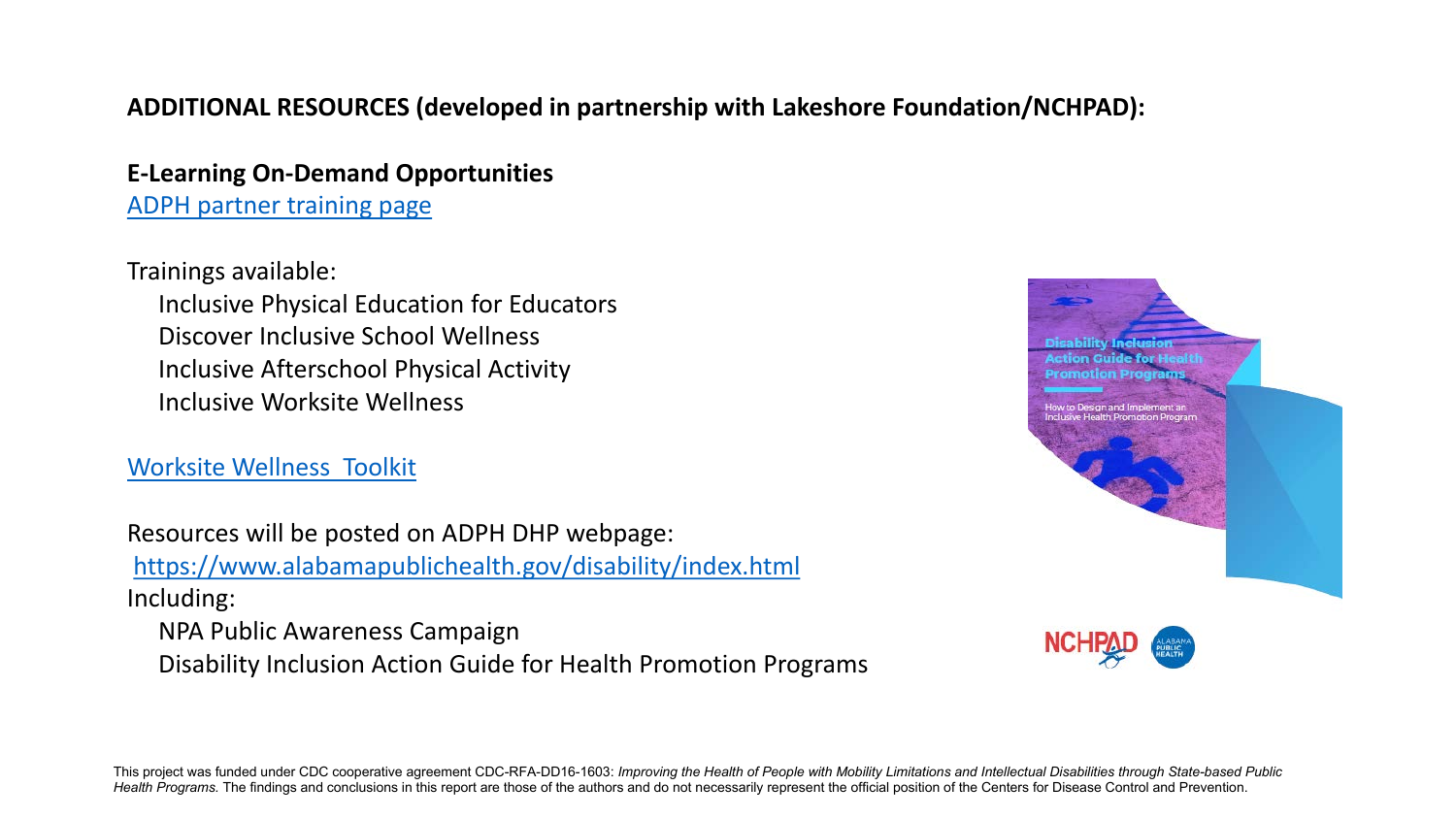#### **ADDITIONAL RESOURCES (developed in partnership with Lakeshore Foundation/NCHPAD):**

**E-Learning On-Demand Opportunities** [ADPH partner training page](https://elearn.nchpad.org/course/index.php?categoryid=13)

Trainings available: Inclusive Physical Education for Educators Discover Inclusive School Wellness Inclusive Afterschool Physical Activity Inclusive Worksite Wellness

[Worksite Wellness Toolkit](https://www.nchpad.org/1749/6900/Inclusive%7EWorksite%7EWellness%7EToolkit) 

Resources will be posted on ADPH DHP webpage: <https://www.alabamapublichealth.gov/disability/index.html> Including:

NPA Public Awareness Campaign

Disability Inclusion Action Guide for Health Promotion Programs